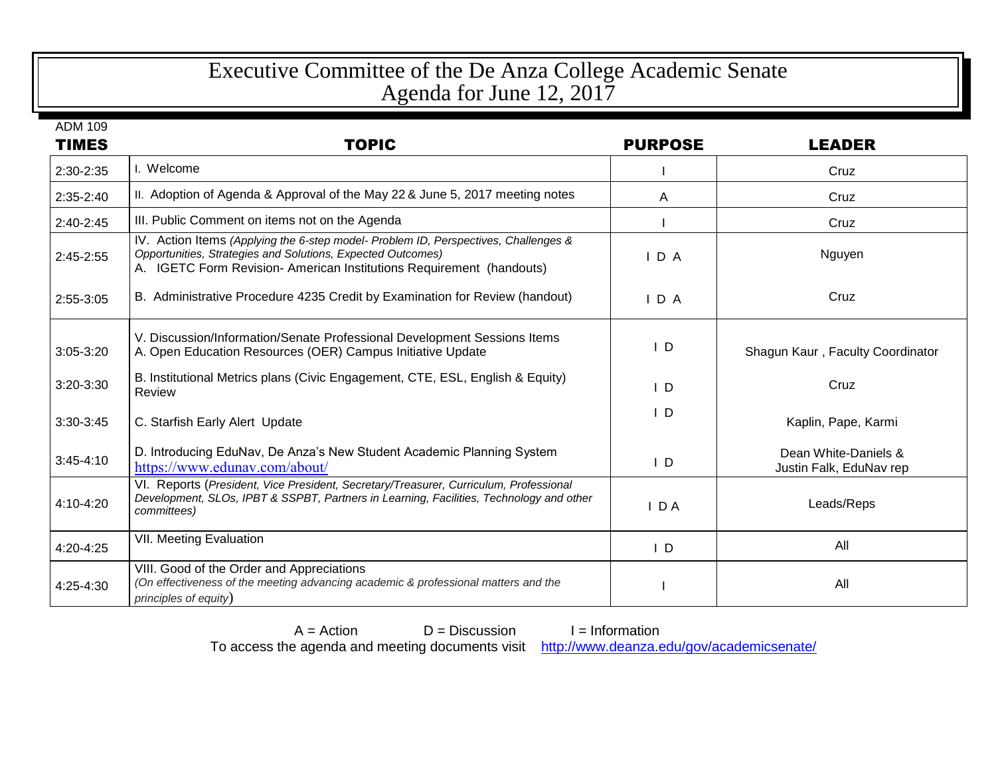## Executive Committee of the De Anza College Academic Senate Agenda for June 12, 2017

| <b>ADM 109</b> |                                                                                                                                                                                                                           |                |                                                 |
|----------------|---------------------------------------------------------------------------------------------------------------------------------------------------------------------------------------------------------------------------|----------------|-------------------------------------------------|
| <b>TIMES</b>   | <b>TOPIC</b>                                                                                                                                                                                                              | <b>PURPOSE</b> | <b>LEADER</b>                                   |
| 2:30-2:35      | I. Welcome                                                                                                                                                                                                                |                | Cruz                                            |
| 2:35-2:40      | II. Adoption of Agenda & Approval of the May 22 & June 5, 2017 meeting notes                                                                                                                                              | A              | Cruz                                            |
| 2:40-2:45      | III. Public Comment on items not on the Agenda                                                                                                                                                                            |                | Cruz                                            |
| 2:45-2:55      | IV. Action Items (Applying the 6-step model- Problem ID, Perspectives, Challenges &<br>Opportunities, Strategies and Solutions, Expected Outcomes)<br>A. IGETC Form Revision-American Institutions Requirement (handouts) | IDA            | Nguyen                                          |
| 2:55-3:05      | B. Administrative Procedure 4235 Credit by Examination for Review (handout)                                                                                                                                               | IDA            | Cruz                                            |
| $3:05-3:20$    | V. Discussion/Information/Senate Professional Development Sessions Items<br>A. Open Education Resources (OER) Campus Initiative Update                                                                                    | $\mathsf{I}$ D | Shagun Kaur, Faculty Coordinator                |
| 3:20-3:30      | B. Institutional Metrics plans (Civic Engagement, CTE, ESL, English & Equity)<br>Review                                                                                                                                   | $\mathsf{L}$   | Cruz                                            |
| 3:30-3:45      | C. Starfish Early Alert Update                                                                                                                                                                                            | $\mathsf{I}$ D | Kaplin, Pape, Karmi                             |
| $3:45 - 4:10$  | D. Introducing EduNav, De Anza's New Student Academic Planning System<br>https://www.edunav.com/about/                                                                                                                    | $\mathsf{L}$   | Dean White-Daniels &<br>Justin Falk, EduNav rep |
| 4:10-4:20      | VI. Reports (President, Vice President, Secretary/Treasurer, Curriculum, Professional<br>Development, SLOs, IPBT & SSPBT, Partners in Learning, Facilities, Technology and other<br>committees)                           | D A            | Leads/Reps                                      |
| 4:20-4:25      | <b>VII. Meeting Evaluation</b>                                                                                                                                                                                            | $\mathsf{I}$ D | All                                             |
| 4:25-4:30      | VIII. Good of the Order and Appreciations<br>(On effectiveness of the meeting advancing academic & professional matters and the<br>principles of equity)                                                                  |                | All                                             |

 $A = Action$   $D = Discussion$  I = Information To access the agenda and meeting documents visit <http://www.deanza.edu/gov/academicsenate/>